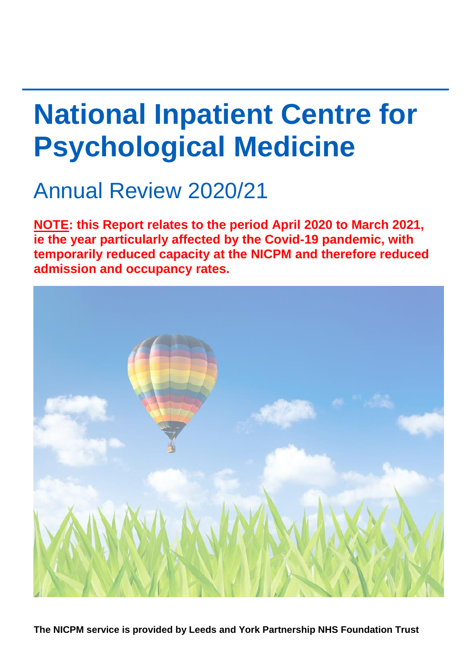# **National Inpatient Centre for Psychological Medicine**

# Annual Review 2020/21

**NOTE: this Report relates to the period April 2020 to March 2021, ie the year particularly affected by the Covid-19 pandemic, with temporarily reduced capacity at the NICPM and therefore reduced admission and occupancy rates.**



**The NICPM service is provided by Leeds and York Partnership NHS Foundation Trust**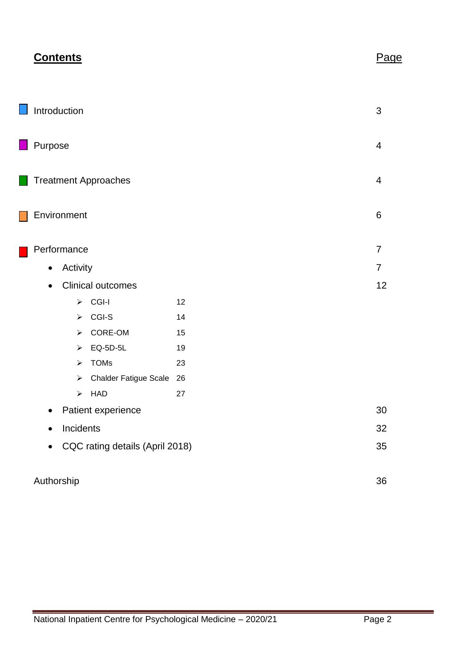|                                              | <b>Contents</b>       |                              |    | <u>Page</u>    |
|----------------------------------------------|-----------------------|------------------------------|----|----------------|
|                                              | Introduction          |                              |    | 3              |
| Purpose                                      |                       |                              |    | 4              |
| <b>Treatment Approaches</b>                  |                       |                              |    | $\overline{4}$ |
|                                              | Environment           |                              |    | 6              |
|                                              | Performance           |                              |    | 7              |
|                                              | Activity              |                              |    | 7              |
| $\bullet$                                    |                       | <b>Clinical outcomes</b>     |    | 12             |
|                                              | ➤                     | CGI-I                        | 12 |                |
|                                              | $\blacktriangleright$ | CGI-S                        | 14 |                |
|                                              | ➤                     | CORE-OM                      | 15 |                |
|                                              | ➤                     | EQ-5D-5L                     | 19 |                |
|                                              | $\blacktriangleright$ | <b>TOMs</b>                  | 23 |                |
|                                              | ➤                     | <b>Chalder Fatigue Scale</b> | 26 |                |
|                                              | $\blacktriangleright$ | HAD                          | 27 |                |
|                                              |                       | Patient experience           |    | 30             |
| $\bullet$                                    | Incidents             |                              |    | 32             |
| CQC rating details (April 2018)<br>$\bullet$ |                       |                              |    | 35             |
| Authorship                                   |                       |                              |    | 36             |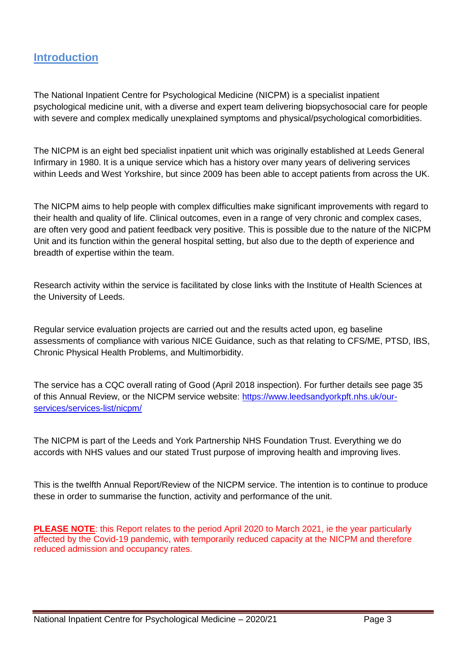# **Introduction**

The National Inpatient Centre for Psychological Medicine (NICPM) is a specialist inpatient psychological medicine unit, with a diverse and expert team delivering biopsychosocial care for people with severe and complex medically unexplained symptoms and physical/psychological comorbidities.

The NICPM is an eight bed specialist inpatient unit which was originally established at Leeds General Infirmary in 1980. It is a unique service which has a history over many years of delivering services within Leeds and West Yorkshire, but since 2009 has been able to accept patients from across the UK.

The NICPM aims to help people with complex difficulties make significant improvements with regard to their health and quality of life. Clinical outcomes, even in a range of very chronic and complex cases, are often very good and patient feedback very positive. This is possible due to the nature of the NICPM Unit and its function within the general hospital setting, but also due to the depth of experience and breadth of expertise within the team.

Research activity within the service is facilitated by close links with the Institute of Health Sciences at the University of Leeds.

Regular service evaluation projects are carried out and the results acted upon, eg baseline assessments of compliance with various NICE Guidance, such as that relating to CFS/ME, PTSD, IBS, Chronic Physical Health Problems, and Multimorbidity.

The service has a CQC overall rating of Good (April 2018 inspection). For further details see page 35 of this Annual Review, or the NICPM service website: [https://www.leedsandyorkpft.nhs.uk/our](https://www.leedsandyorkpft.nhs.uk/our-services/services-list/nicpm/)[services/services-list/nicpm/](https://www.leedsandyorkpft.nhs.uk/our-services/services-list/nicpm/)

The NICPM is part of the Leeds and York Partnership NHS Foundation Trust. Everything we do accords with NHS values and our stated Trust purpose of improving health and improving lives.

This is the twelfth Annual Report/Review of the NICPM service. The intention is to continue to produce these in order to summarise the function, activity and performance of the unit.

**PLEASE NOTE:** this Report relates to the period April 2020 to March 2021, ie the year particularly affected by the Covid-19 pandemic, with temporarily reduced capacity at the NICPM and therefore reduced admission and occupancy rates.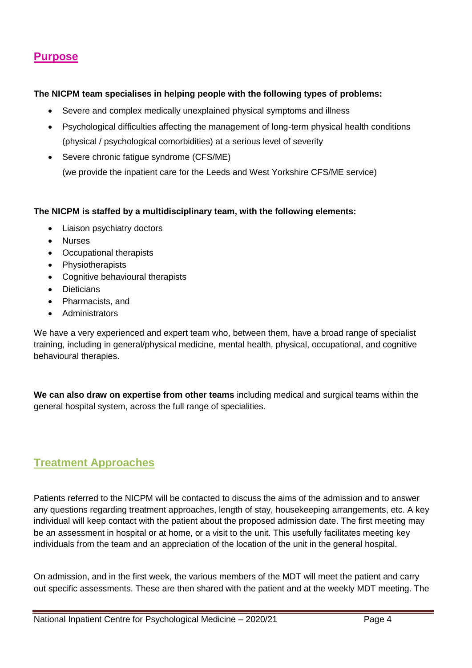# **Purpose**

#### **The NICPM team specialises in helping people with the following types of problems:**

- Severe and complex medically unexplained physical symptoms and illness
- Psychological difficulties affecting the management of long-term physical health conditions (physical / psychological comorbidities) at a serious level of severity
- Severe chronic fatigue syndrome (CFS/ME) (we provide the inpatient care for the [Leeds and West Yorkshire CFS/ME service\)](https://www.leedsandyorkpft.nhs.uk/our-services/cfsme-service/)

#### **The NICPM is staffed by a multidisciplinary team, with the following elements:**

- Liaison psychiatry doctors
- Nurses
- Occupational therapists
- Physiotherapists
- Cognitive behavioural therapists
- Dieticians
- Pharmacists, and
- Administrators

We have a very experienced and expert team who, between them, have a broad range of specialist training, including in general/physical medicine, mental health, physical, occupational, and cognitive behavioural therapies.

**We can also draw on expertise from other teams** including medical and surgical teams within the general hospital system, across the full range of specialities.

# **Treatment Approaches**

Patients referred to the NICPM will be contacted to discuss the aims of the admission and to answer any questions regarding treatment approaches, length of stay, housekeeping arrangements, etc. A key individual will keep contact with the patient about the proposed admission date. The first meeting may be an assessment in hospital or at home, or a visit to the unit. This usefully facilitates meeting key individuals from the team and an appreciation of the location of the unit in the general hospital.

On admission, and in the first week, the various members of the MDT will meet the patient and carry out specific assessments. These are then shared with the patient and at the weekly MDT meeting. The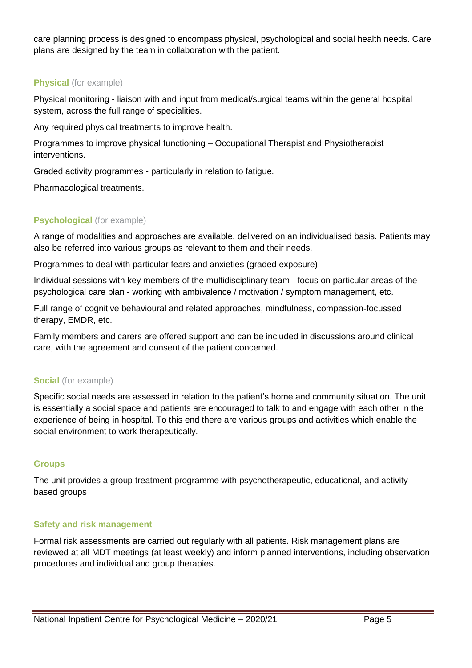care planning process is designed to encompass physical, psychological and social health needs. Care plans are designed by the team in collaboration with the patient.

#### **Physical** (for example)

Physical monitoring - liaison with and input from medical/surgical teams within the general hospital system, across the full range of specialities.

Any required physical treatments to improve health.

Programmes to improve physical functioning – Occupational Therapist and Physiotherapist interventions.

Graded activity programmes - particularly in relation to fatigue.

Pharmacological treatments.

#### **Psychological** (for example)

A range of modalities and approaches are available, delivered on an individualised basis. Patients may also be referred into various groups as relevant to them and their needs.

Programmes to deal with particular fears and anxieties (graded exposure)

Individual sessions with key members of the multidisciplinary team - focus on particular areas of the psychological care plan - working with ambivalence / motivation / symptom management, etc.

Full range of cognitive behavioural and related approaches, mindfulness, compassion-focussed therapy, EMDR, etc.

Family members and carers are offered support and can be included in discussions around clinical care, with the agreement and consent of the patient concerned.

#### **Social** (for example)

Specific social needs are assessed in relation to the patient's home and community situation. The unit is essentially a social space and patients are encouraged to talk to and engage with each other in the experience of being in hospital. To this end there are various groups and activities which enable the social environment to work therapeutically.

#### **Groups**

The unit provides a group treatment programme with psychotherapeutic, educational, and activitybased groups

#### **Safety and risk management**

Formal risk assessments are carried out regularly with all patients. Risk management plans are reviewed at all MDT meetings (at least weekly) and inform planned interventions, including observation procedures and individual and group therapies.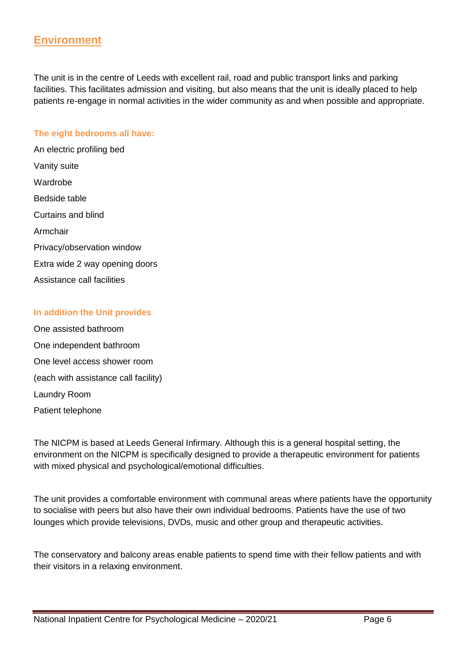# **Environment**

The unit is in the centre of Leeds with excellent rail, road and public transport links and parking facilities. This facilitates admission and visiting, but also means that the unit is ideally placed to help patients re-engage in normal activities in the wider community as and when possible and appropriate.

#### **The eight bedrooms all have:**

An electric profiling bed Vanity suite Wardrobe Bedside table Curtains and blind Armchair Privacy/observation window Extra wide 2 way opening doors Assistance call facilities

#### **In addition the Unit provides**

One assisted bathroom One independent bathroom One level access shower room (each with assistance call facility) Laundry Room Patient telephone

The NICPM is based at Leeds General Infirmary. Although this is a general hospital setting, the environment on the NICPM is specifically designed to provide a therapeutic environment for patients with mixed physical and psychological/emotional difficulties.

The unit provides a comfortable environment with communal areas where patients have the opportunity to socialise with peers but also have their own individual bedrooms. Patients have the use of two lounges which provide televisions, DVDs, music and other group and therapeutic activities.

The conservatory and balcony areas enable patients to spend time with their fellow patients and with their visitors in a relaxing environment.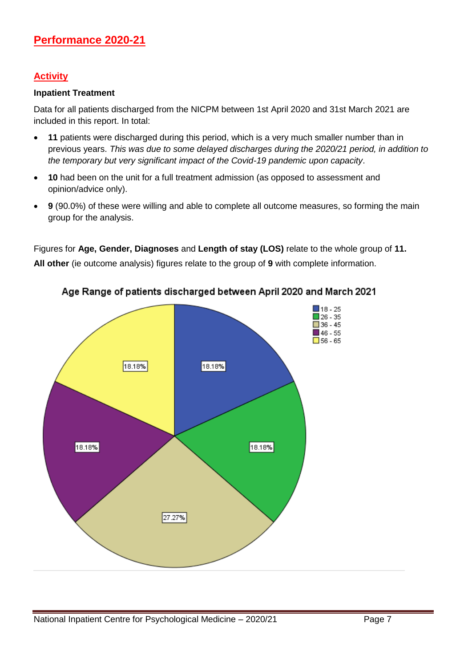### **Activity**

#### **Inpatient Treatment**

Data for all patients discharged from the NICPM between 1st April 2020 and 31st March 2021 are included in this report. In total:

- **11** patients were discharged during this period, which is a very much smaller number than in previous years. *This was due to some delayed discharges during the 2020/21 period, in addition to the temporary but very significant impact of the Covid-19 pandemic upon capacity*.
- **10** had been on the unit for a full treatment admission (as opposed to assessment and opinion/advice only).
- **9** (90.0%) of these were willing and able to complete all outcome measures, so forming the main group for the analysis.

Figures for **Age, Gender, Diagnoses** and **Length of stay (LOS)** relate to the whole group of **11.**

**All other** (ie outcome analysis) figures relate to the group of **9** with complete information.



#### Age Range of patients discharged between April 2020 and March 2021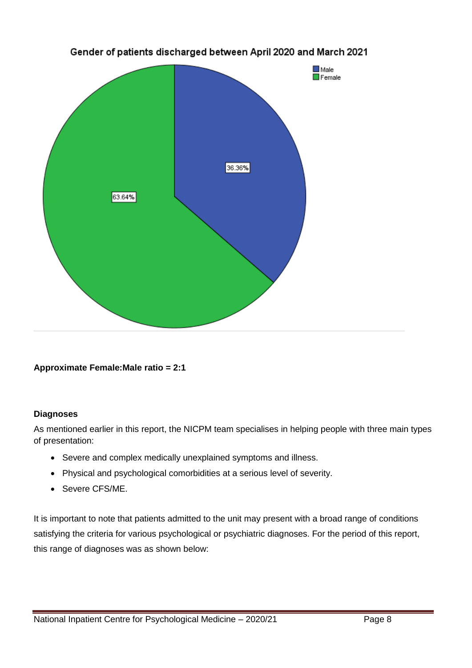

Gender of patients discharged between April 2020 and March 2021

**Approximate Female:Male ratio = 2:1**

#### **Diagnoses**

As mentioned earlier in this report, the NICPM team specialises in helping people with three main types of presentation:

- Severe and complex medically unexplained symptoms and illness.
- Physical and psychological comorbidities at a serious level of severity.
- Severe CFS/ME.

It is important to note that patients admitted to the unit may present with a broad range of conditions satisfying the criteria for various psychological or psychiatric diagnoses. For the period of this report, this range of diagnoses was as shown below: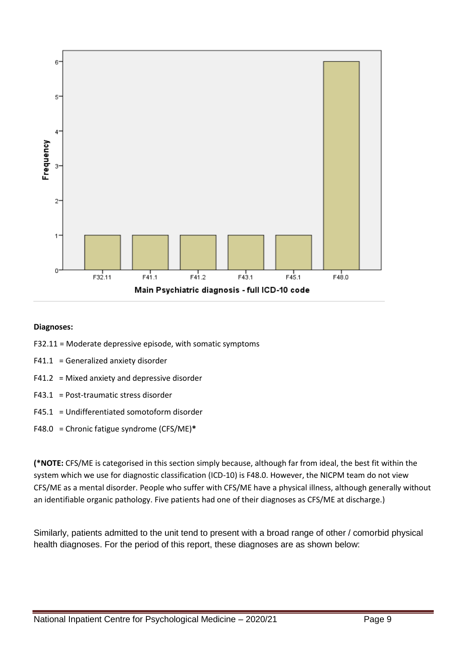

#### **Diagnoses:**

- F32.11 = Moderate depressive episode, with somatic symptoms
- F41.1 = Generalized anxiety disorder
- F41.2 = Mixed anxiety and depressive disorder
- F43.1 = Post-traumatic stress disorder
- F45.1 = Undifferentiated somotoform disorder
- F48.0 = Chronic fatigue syndrome (CFS/ME)**\***

**(\*NOTE:** CFS/ME is categorised in this section simply because, although far from ideal, the best fit within the system which we use for diagnostic classification (ICD-10) is F48.0. However, the NICPM team do not view CFS/ME as a mental disorder. People who suffer with CFS/ME have a physical illness, although generally without an identifiable organic pathology. Five patients had one of their diagnoses as CFS/ME at discharge.)

Similarly, patients admitted to the unit tend to present with a broad range of other / comorbid physical health diagnoses. For the period of this report, these diagnoses are as shown below: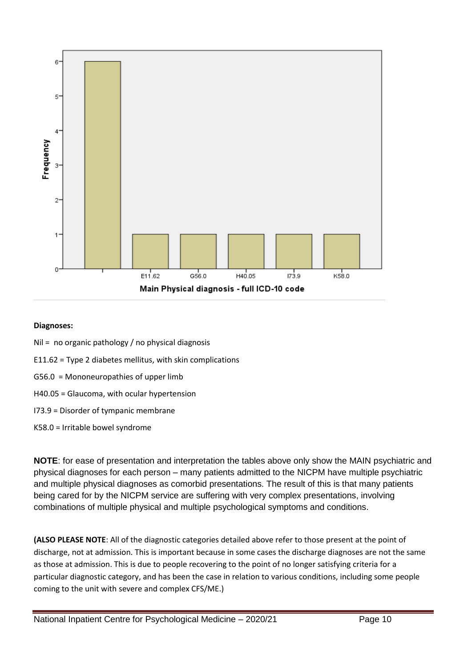

#### **Diagnoses:**

- Nil = no organic pathology / no physical diagnosis
- E11.62 = Type 2 diabetes mellitus, with skin complications
- G56.0 = Mononeuropathies of upper limb
- H40.05 = Glaucoma, with ocular hypertension
- I73.9 = Disorder of tympanic membrane
- K58.0 = Irritable bowel syndrome

**NOTE**: for ease of presentation and interpretation the tables above only show the MAIN psychiatric and physical diagnoses for each person – many patients admitted to the NICPM have multiple psychiatric and multiple physical diagnoses as comorbid presentations. The result of this is that many patients being cared for by the NICPM service are suffering with very complex presentations, involving combinations of multiple physical and multiple psychological symptoms and conditions.

**(ALSO PLEASE NOTE**: All of the diagnostic categories detailed above refer to those present at the point of discharge, not at admission. This is important because in some cases the discharge diagnoses are not the same as those at admission. This is due to people recovering to the point of no longer satisfying criteria for a particular diagnostic category, and has been the case in relation to various conditions, including some people coming to the unit with severe and complex CFS/ME.)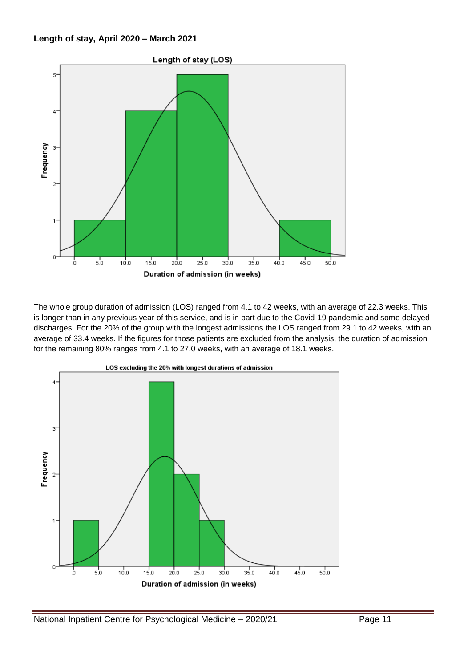#### **Length of stay, April 2020 – March 2021**



The whole group duration of admission (LOS) ranged from 4.1 to 42 weeks, with an average of 22.3 weeks. This is longer than in any previous year of this service, and is in part due to the Covid-19 pandemic and some delayed discharges. For the 20% of the group with the longest admissions the LOS ranged from 29.1 to 42 weeks, with an average of 33.4 weeks. If the figures for those patients are excluded from the analysis, the duration of admission for the remaining 80% ranges from 4.1 to 27.0 weeks, with an average of 18.1 weeks.

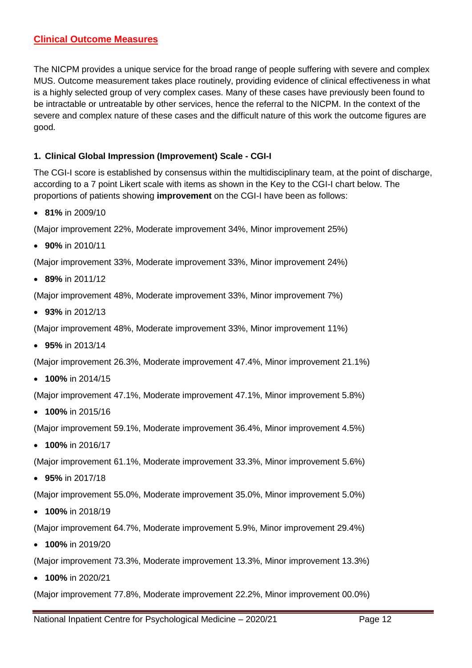#### **Clinical Outcome Measures**

The NICPM provides a unique service for the broad range of people suffering with severe and complex MUS. Outcome measurement takes place routinely, providing evidence of clinical effectiveness in what is a highly selected group of very complex cases. Many of these cases have previously been found to be intractable or untreatable by other services, hence the referral to the NICPM. In the context of the severe and complex nature of these cases and the difficult nature of this work the outcome figures are good.

#### **1. Clinical Global Impression (Improvement) Scale - CGI-I**

The CGI-I score is established by consensus within the multidisciplinary team, at the point of discharge, according to a 7 point Likert scale with items as shown in the Key to the CGI-I chart below. The proportions of patients showing **improvement** on the CGI-I have been as follows:

**81%** in 2009/10

(Major improvement 22%, Moderate improvement 34%, Minor improvement 25%)

**90%** in 2010/11

(Major improvement 33%, Moderate improvement 33%, Minor improvement 24%)

**89%** in 2011/12

(Major improvement 48%, Moderate improvement 33%, Minor improvement 7%)

**93%** in 2012/13

(Major improvement 48%, Moderate improvement 33%, Minor improvement 11%)

**95%** in 2013/14

(Major improvement 26.3%, Moderate improvement 47.4%, Minor improvement 21.1%)

**100%** in 2014/15

(Major improvement 47.1%, Moderate improvement 47.1%, Minor improvement 5.8%)

**100%** in 2015/16

(Major improvement 59.1%, Moderate improvement 36.4%, Minor improvement 4.5%)

**100%** in 2016/17

(Major improvement 61.1%, Moderate improvement 33.3%, Minor improvement 5.6%)

**95%** in 2017/18

(Major improvement 55.0%, Moderate improvement 35.0%, Minor improvement 5.0%)

**100%** in 2018/19

(Major improvement 64.7%, Moderate improvement 5.9%, Minor improvement 29.4%)

**100%** in 2019/20

(Major improvement 73.3%, Moderate improvement 13.3%, Minor improvement 13.3%)

**100%** in 2020/21

(Major improvement 77.8%, Moderate improvement 22.2%, Minor improvement 00.0%)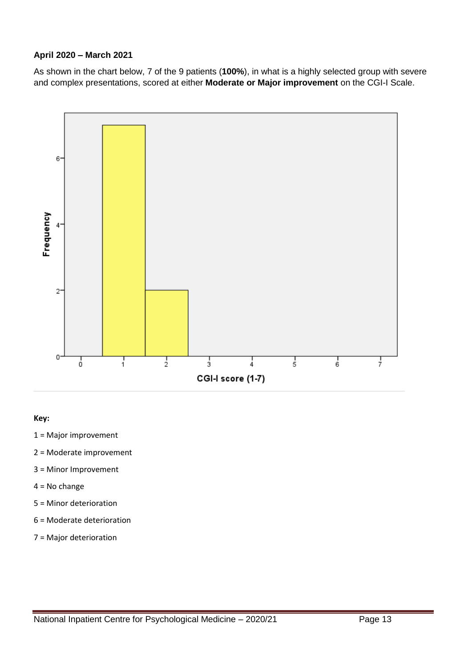#### **April 2020 – March 2021**

As shown in the chart below, 7 of the 9 patients (**100%**), in what is a highly selected group with severe and complex presentations, scored at either **Moderate or Major improvement** on the CGI-I Scale.



#### **Key:**

- 1 = Major improvement
- 2 = Moderate improvement
- 3 = Minor Improvement
- 4 = No change
- 5 = Minor deterioration
- 6 = Moderate deterioration
- 7 = Major deterioration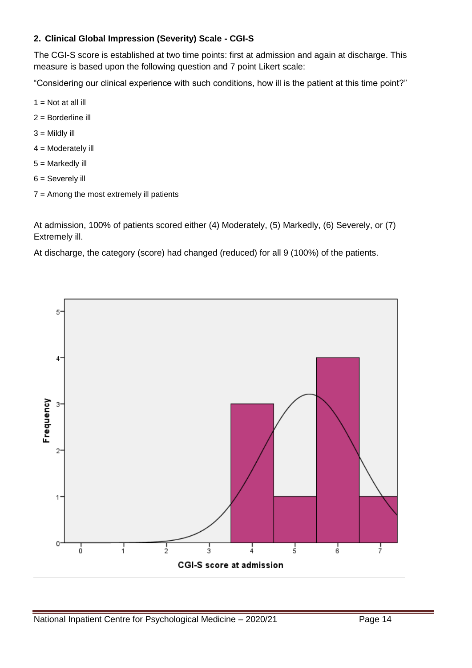#### **2. Clinical Global Impression (Severity) Scale - CGI-S**

The CGI-S score is established at two time points: first at admission and again at discharge. This measure is based upon the following question and 7 point Likert scale:

"Considering our clinical experience with such conditions, how ill is the patient at this time point?"

- $1 = Not$  at all ill
- 2 = Borderline ill
- $3 =$  Mildly ill
- $4 =$  Moderately ill
- 5 = Markedly ill
- 6 = Severely ill
- 7 = Among the most extremely ill patients

At admission, 100% of patients scored either (4) Moderately, (5) Markedly, (6) Severely, or (7) Extremely ill.

At discharge, the category (score) had changed (reduced) for all 9 (100%) of the patients.

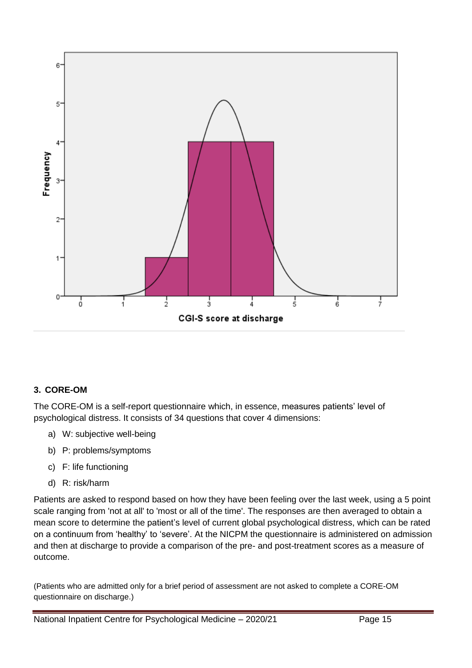

#### **3. CORE-OM**

The CORE-OM is a self-report questionnaire which, in essence, measures patients' level of psychological distress. It consists of 34 questions that cover 4 dimensions:

- a) W: subjective well-being
- b) P: problems/symptoms
- c) F: life functioning
- d) R: risk/harm

Patients are asked to respond based on how they have been feeling over the last week, using a 5 point scale ranging from 'not at all' to 'most or all of the time'. The responses are then averaged to obtain a mean score to determine the patient's level of current global psychological distress, which can be rated on a continuum from 'healthy' to 'severe'. At the NICPM the questionnaire is administered on admission and then at discharge to provide a comparison of the pre- and post-treatment scores as a measure of outcome.

(Patients who are admitted only for a brief period of assessment are not asked to complete a CORE-OM questionnaire on discharge.)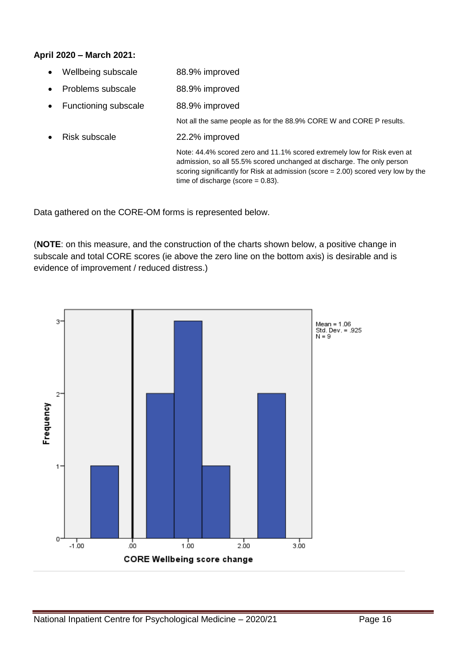#### **April 2020 – March 2021:**

- Wellbeing subscale 88.9% improved
- Problems subscale 88.9% improved
- Functioning subscale 88.9% improved

Not all the same people as for the 88.9% CORE W and CORE P results.

Risk subscale 22.2% improved

Note: 44.4% scored zero and 11.1% scored extremely low for Risk even at admission, so all 55.5% scored unchanged at discharge. The only person scoring significantly for Risk at admission (score = 2.00) scored very low by the time of discharge (score  $= 0.83$ ).

Data gathered on the CORE-OM forms is represented below.

(**NOTE**: on this measure, and the construction of the charts shown below, a positive change in subscale and total CORE scores (ie above the zero line on the bottom axis) is desirable and is evidence of improvement / reduced distress.)

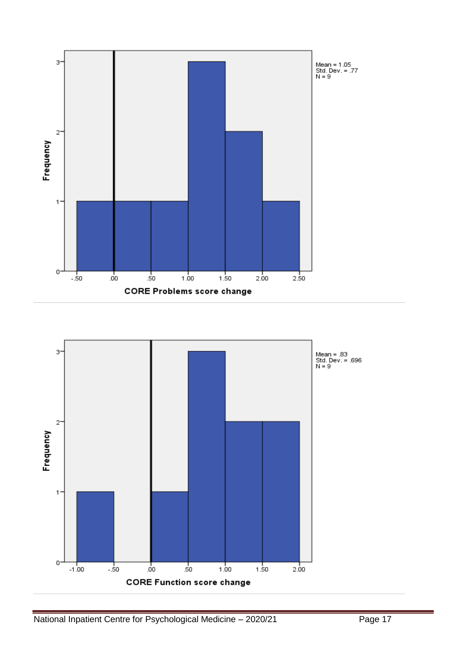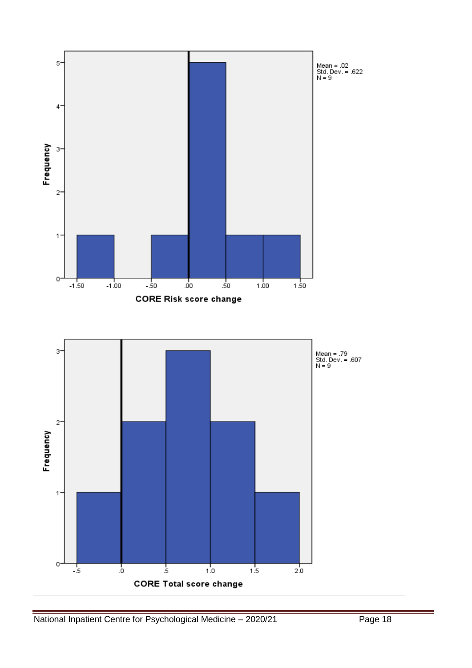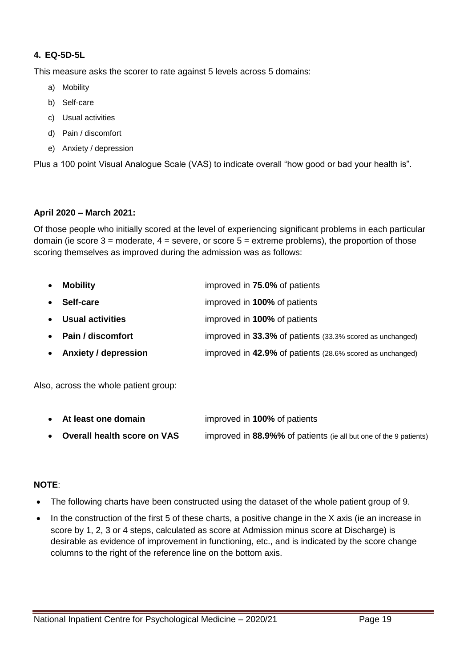#### **4. EQ-5D-5L**

This measure asks the scorer to rate against 5 levels across 5 domains:

- a) Mobility
- b) Self-care
- c) Usual activities
- d) Pain / discomfort
- e) Anxiety / depression

Plus a 100 point Visual Analogue Scale (VAS) to indicate overall "how good or bad your health is".

#### **April 2020 – March 2021:**

Of those people who initially scored at the level of experiencing significant problems in each particular domain (ie score  $3 =$  moderate,  $4 =$  severe, or score  $5 =$  extreme problems), the proportion of those scoring themselves as improved during the admission was as follows:

| $\bullet$ | <b>Mobility</b>        | improved in 75.0% of patients                             |
|-----------|------------------------|-----------------------------------------------------------|
| $\bullet$ | Self-care              | improved in 100% of patients                              |
|           | • Usual activities     | improved in 100% of patients                              |
|           | • Pain / discomfort    | improved in 33.3% of patients (33.3% scored as unchanged) |
|           | • Anxiety / depression | improved in 42.9% of patients (28.6% scored as unchanged) |
|           |                        |                                                           |

Also, across the whole patient group:

| • At least one domain         | improved in 100% of patients                                      |
|-------------------------------|-------------------------------------------------------------------|
| • Overall health score on VAS | improved in 88.9%% of patients (ie all but one of the 9 patients) |

#### **NOTE**:

- The following charts have been constructed using the dataset of the whole patient group of 9.
- In the construction of the first 5 of these charts, a positive change in the X axis (ie an increase in score by 1, 2, 3 or 4 steps, calculated as score at Admission minus score at Discharge) is desirable as evidence of improvement in functioning, etc., and is indicated by the score change columns to the right of the reference line on the bottom axis.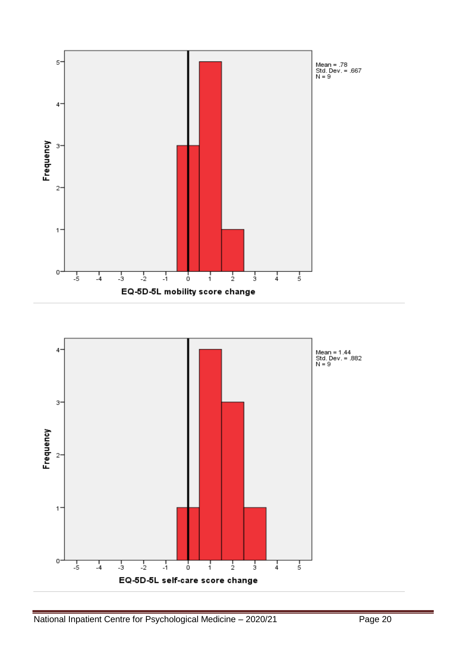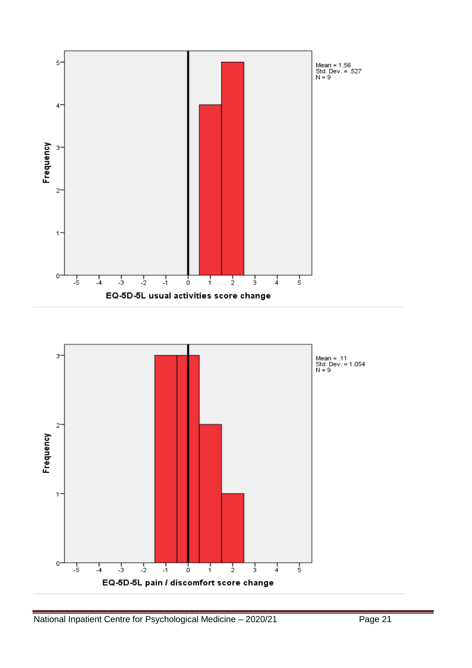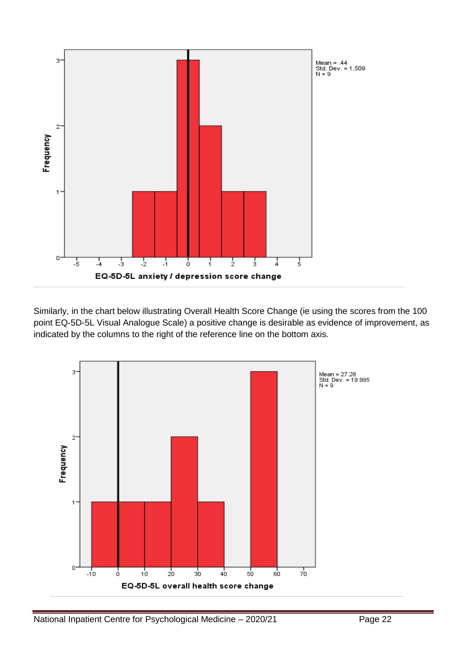

Similarly, in the chart below illustrating Overall Health Score Change (ie using the scores from the 100 point EQ-5D-5L Visual Analogue Scale) a positive change is desirable as evidence of improvement, as indicated by the columns to the right of the reference line on the bottom axis.

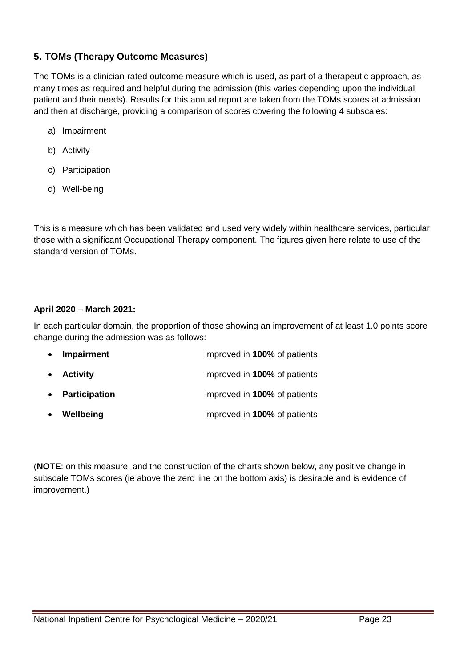#### **5. TOMs (Therapy Outcome Measures)**

The TOMs is a clinician-rated outcome measure which is used, as part of a therapeutic approach, as many times as required and helpful during the admission (this varies depending upon the individual patient and their needs). Results for this annual report are taken from the TOMs scores at admission and then at discharge, providing a comparison of scores covering the following 4 subscales:

- a) Impairment
- b) Activity
- c) Participation
- d) Well-being

This is a measure which has been validated and used very widely within healthcare services, particular those with a significant Occupational Therapy component. The figures given here relate to use of the standard version of TOMs.

#### **April 2020 – March 2021:**

In each particular domain, the proportion of those showing an improvement of at least 1.0 points score change during the admission was as follows:

| $\bullet$ | Impairment      | improved in 100% of patients |
|-----------|-----------------|------------------------------|
|           | • Activity      | improved in 100% of patients |
|           | • Participation | improved in 100% of patients |
| $\bullet$ | Wellbeing       | improved in 100% of patients |

(**NOTE**: on this measure, and the construction of the charts shown below, any positive change in subscale TOMs scores (ie above the zero line on the bottom axis) is desirable and is evidence of improvement.)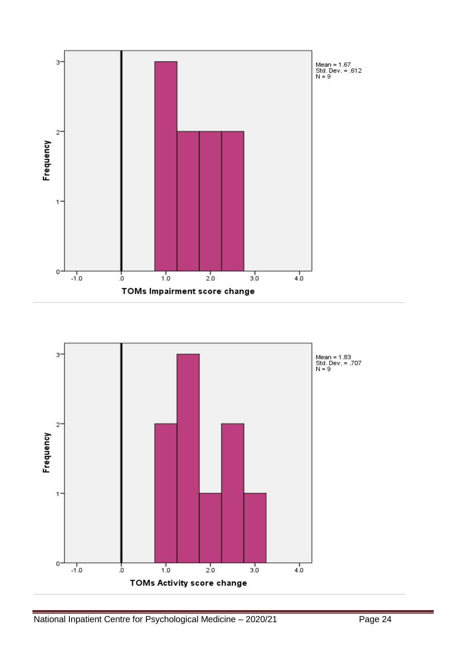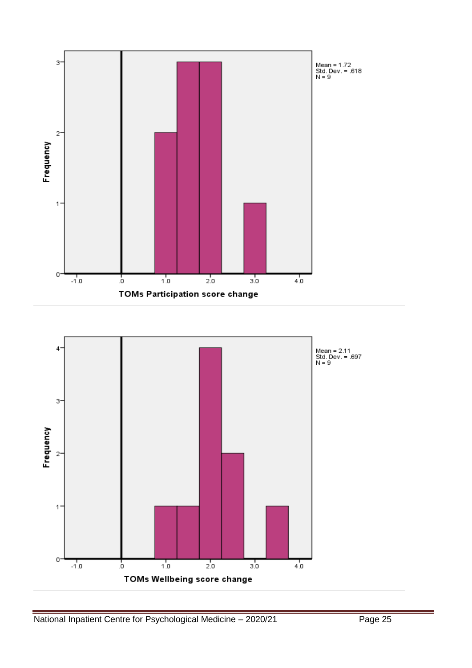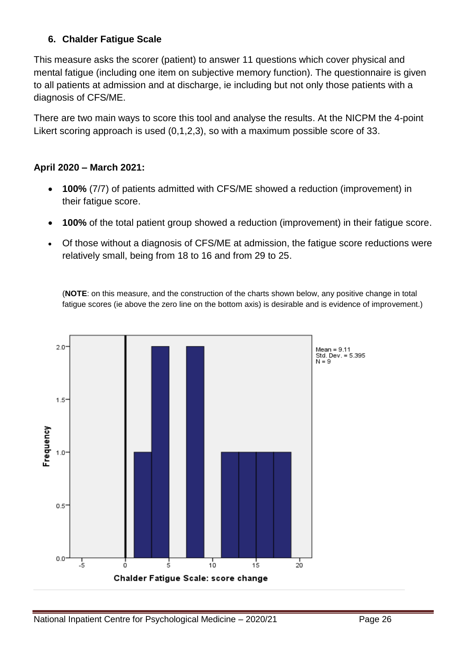# **6. Chalder Fatigue Scale**

This measure asks the scorer (patient) to answer 11 questions which cover physical and mental fatigue (including one item on subjective memory function). The questionnaire is given to all patients at admission and at discharge, ie including but not only those patients with a diagnosis of CFS/ME.

There are two main ways to score this tool and analyse the results. At the NICPM the 4-point Likert scoring approach is used (0,1,2,3), so with a maximum possible score of 33.

# **April 2020 – March 2021:**

- **100%** (7/7) of patients admitted with CFS/ME showed a reduction (improvement) in their fatigue score.
- **100%** of the total patient group showed a reduction (improvement) in their fatigue score.
- Of those without a diagnosis of CFS/ME at admission, the fatigue score reductions were relatively small, being from 18 to 16 and from 29 to 25.

(**NOTE**: on this measure, and the construction of the charts shown below, any positive change in total fatigue scores (ie above the zero line on the bottom axis) is desirable and is evidence of improvement.)

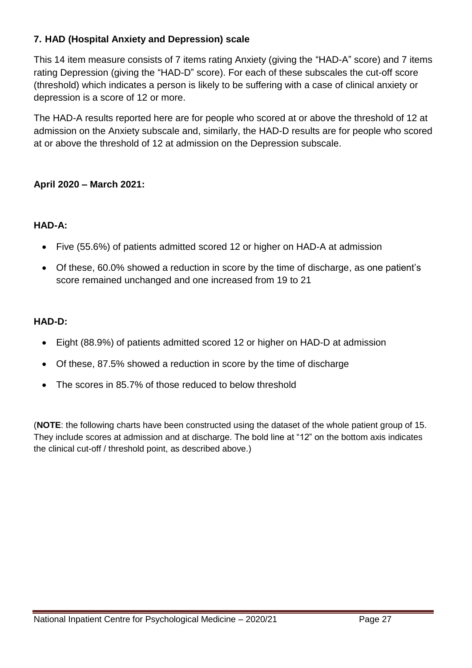# **7. HAD (Hospital Anxiety and Depression) scale**

This 14 item measure consists of 7 items rating Anxiety (giving the "HAD-A" score) and 7 items rating Depression (giving the "HAD-D" score). For each of these subscales the cut-off score (threshold) which indicates a person is likely to be suffering with a case of clinical anxiety or depression is a score of 12 or more.

The HAD-A results reported here are for people who scored at or above the threshold of 12 at admission on the Anxiety subscale and, similarly, the HAD-D results are for people who scored at or above the threshold of 12 at admission on the Depression subscale.

### **April 2020 – March 2021:**

# **HAD-A:**

- Five (55.6%) of patients admitted scored 12 or higher on HAD-A at admission
- Of these, 60.0% showed a reduction in score by the time of discharge, as one patient's score remained unchanged and one increased from 19 to 21

# **HAD-D:**

- Eight (88.9%) of patients admitted scored 12 or higher on HAD-D at admission
- Of these, 87.5% showed a reduction in score by the time of discharge
- The scores in 85.7% of those reduced to below threshold

(**NOTE**: the following charts have been constructed using the dataset of the whole patient group of 15. They include scores at admission and at discharge. The bold line at "12" on the bottom axis indicates the clinical cut-off / threshold point, as described above.)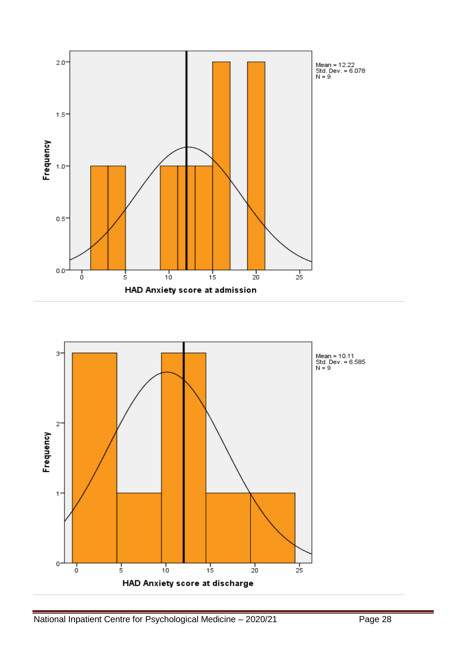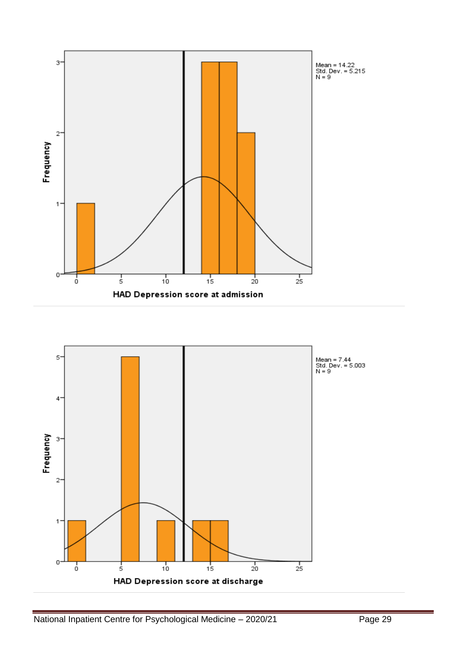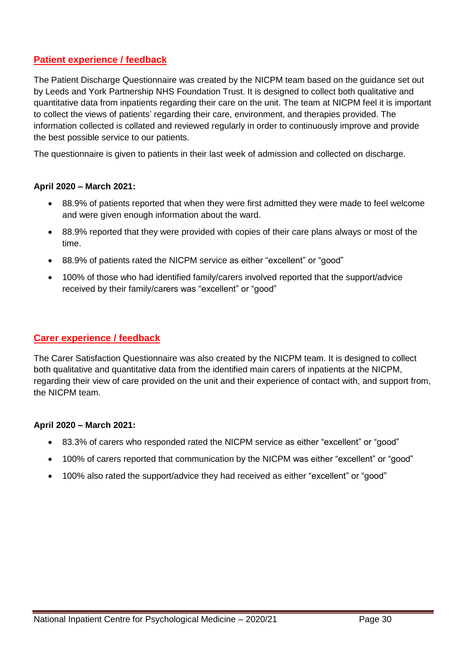#### **Patient experience / feedback**

The Patient Discharge Questionnaire was created by the NICPM team based on the guidance set out by Leeds and York Partnership NHS Foundation Trust. It is designed to collect both qualitative and quantitative data from inpatients regarding their care on the unit. The team at NICPM feel it is important to collect the views of patients' regarding their care, environment, and therapies provided. The information collected is collated and reviewed regularly in order to continuously improve and provide the best possible service to our patients.

The questionnaire is given to patients in their last week of admission and collected on discharge.

#### **April 2020 – March 2021:**

- 88.9% of patients reported that when they were first admitted they were made to feel welcome and were given enough information about the ward.
- 88.9% reported that they were provided with copies of their care plans always or most of the time.
- 88.9% of patients rated the NICPM service as either "excellent" or "good"
- 100% of those who had identified family/carers involved reported that the support/advice received by their family/carers was "excellent" or "good"

#### **Carer experience / feedback**

The Carer Satisfaction Questionnaire was also created by the NICPM team. It is designed to collect both qualitative and quantitative data from the identified main carers of inpatients at the NICPM, regarding their view of care provided on the unit and their experience of contact with, and support from, the NICPM team.

#### **April 2020 – March 2021:**

- 83.3% of carers who responded rated the NICPM service as either "excellent" or "good"
- 100% of carers reported that communication by the NICPM was either "excellent" or "good"
- 100% also rated the support/advice they had received as either "excellent" or "good"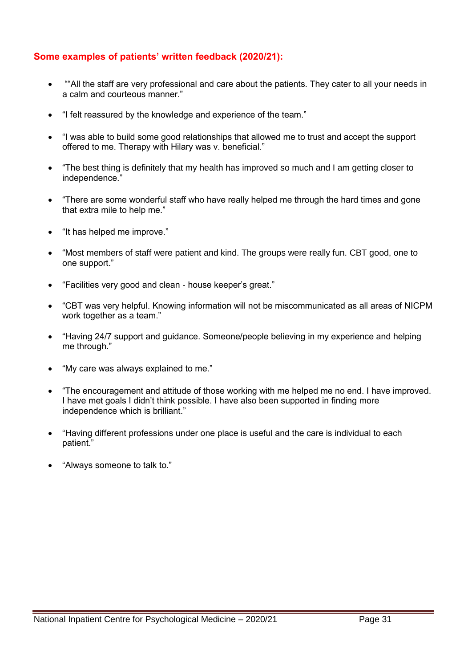#### **Some examples of patients' written feedback (2020/21):**

- ""All the staff are very professional and care about the patients. They cater to all your needs in a calm and courteous manner."
- "I felt reassured by the knowledge and experience of the team."
- "I was able to build some good relationships that allowed me to trust and accept the support offered to me. Therapy with Hilary was v. beneficial."
- "The best thing is definitely that my health has improved so much and I am getting closer to independence."
- "There are some wonderful staff who have really helped me through the hard times and gone that extra mile to help me."
- "It has helped me improve."
- "Most members of staff were patient and kind. The groups were really fun. CBT good, one to one support."
- "Facilities very good and clean house keeper's great."
- "CBT was very helpful. Knowing information will not be miscommunicated as all areas of NICPM work together as a team."
- "Having 24/7 support and guidance. Someone/people believing in my experience and helping me through."
- "My care was always explained to me."
- "The encouragement and attitude of those working with me helped me no end. I have improved. I have met goals I didn't think possible. I have also been supported in finding more independence which is brilliant."
- "Having different professions under one place is useful and the care is individual to each patient."
- "Always someone to talk to."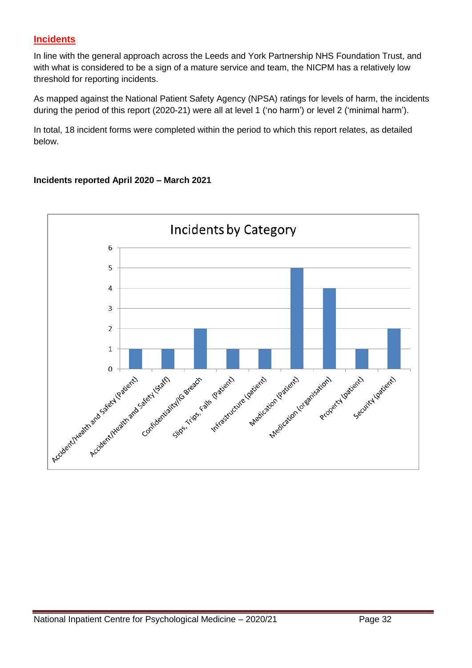# **Incidents**

In line with the general approach across the Leeds and York Partnership NHS Foundation Trust, and with what is considered to be a sign of a mature service and team, the NICPM has a relatively low threshold for reporting incidents.

As mapped against the National Patient Safety Agency (NPSA) ratings for levels of harm, the incidents during the period of this report (2020-21) were all at level 1 ('no harm') or level 2 ('minimal harm').

In total, 18 incident forms were completed within the period to which this report relates, as detailed below.

#### **Incidents reported April 2020 – March 2021**

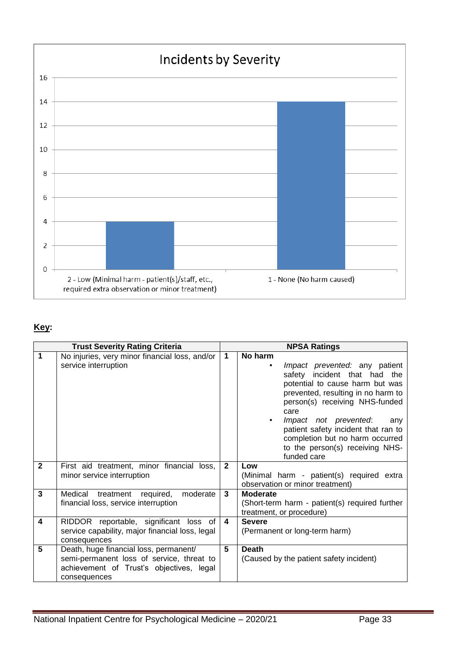

# **Key:**

|                | <b>Trust Severity Rating Criteria</b>                                                                                                           | <b>NPSA Ratings</b>  |                                                                                                                                                                                                                                                                                                                                                              |  |
|----------------|-------------------------------------------------------------------------------------------------------------------------------------------------|----------------------|--------------------------------------------------------------------------------------------------------------------------------------------------------------------------------------------------------------------------------------------------------------------------------------------------------------------------------------------------------------|--|
| 1              | No injuries, very minor financial loss, and/or<br>service interruption                                                                          | $\blacktriangleleft$ | No harm<br>Impact prevented: any patient<br>safety incident that had the<br>potential to cause harm but was<br>prevented, resulting in no harm to<br>person(s) receiving NHS-funded<br>care<br>Impact not prevented:<br>any<br>٠<br>patient safety incident that ran to<br>completion but no harm occurred<br>to the person(s) receiving NHS-<br>funded care |  |
| $\mathbf{2}$   | First aid treatment, minor financial loss,<br>minor service interruption                                                                        | $\overline{2}$       | Low<br>(Minimal harm - patient(s) required extra<br>observation or minor treatment)                                                                                                                                                                                                                                                                          |  |
| $\overline{3}$ | Medical<br>treatment required,<br>moderate<br>financial loss, service interruption                                                              | 3                    | <b>Moderate</b><br>(Short-term harm - patient(s) required further<br>treatment, or procedure)                                                                                                                                                                                                                                                                |  |
| 4              | RIDDOR reportable, significant loss of<br>service capability, major financial loss, legal<br>consequences                                       | 4                    | <b>Severe</b><br>(Permanent or long-term harm)                                                                                                                                                                                                                                                                                                               |  |
| 5              | Death, huge financial loss, permanent/<br>semi-permanent loss of service, threat to<br>achievement of Trust's objectives, legal<br>consequences | 5                    | <b>Death</b><br>(Caused by the patient safety incident)                                                                                                                                                                                                                                                                                                      |  |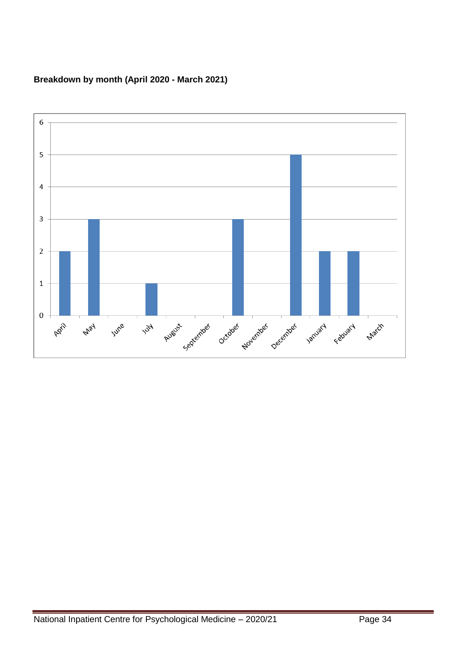#### **Breakdown by month (April 2020 - March 2021)**

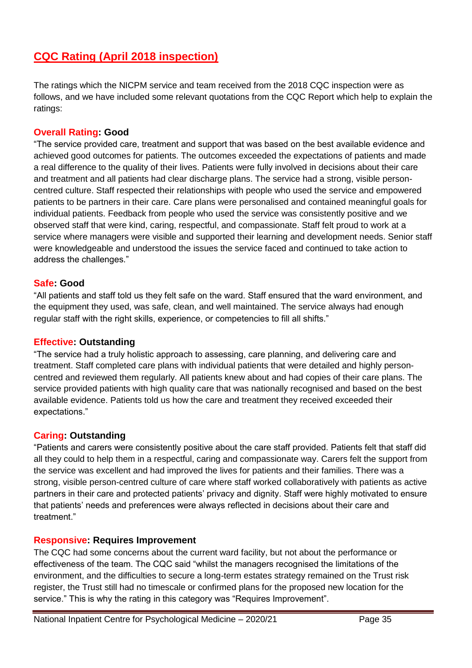# **CQC Rating (April 2018 inspection)**

The ratings which the NICPM service and team received from the 2018 CQC inspection were as follows, and we have included some relevant quotations from the CQC Report which help to explain the ratings:

#### **Overall Rating: Good**

"The service provided care, treatment and support that was based on the best available evidence and achieved good outcomes for patients. The outcomes exceeded the expectations of patients and made a real difference to the quality of their lives. Patients were fully involved in decisions about their care and treatment and all patients had clear discharge plans. The service had a strong, visible personcentred culture. Staff respected their relationships with people who used the service and empowered patients to be partners in their care. Care plans were personalised and contained meaningful goals for individual patients. Feedback from people who used the service was consistently positive and we observed staff that were kind, caring, respectful, and compassionate. Staff felt proud to work at a service where managers were visible and supported their learning and development needs. Senior staff were knowledgeable and understood the issues the service faced and continued to take action to address the challenges."

#### **Safe: Good**

"All patients and staff told us they felt safe on the ward. Staff ensured that the ward environment, and the equipment they used, was safe, clean, and well maintained. The service always had enough regular staff with the right skills, experience, or competencies to fill all shifts."

#### **Effective: Outstanding**

"The service had a truly holistic approach to assessing, care planning, and delivering care and treatment. Staff completed care plans with individual patients that were detailed and highly personcentred and reviewed them regularly. All patients knew about and had copies of their care plans. The service provided patients with high quality care that was nationally recognised and based on the best available evidence. Patients told us how the care and treatment they received exceeded their expectations."

#### **Caring: Outstanding**

"Patients and carers were consistently positive about the care staff provided. Patients felt that staff did all they could to help them in a respectful, caring and compassionate way. Carers felt the support from the service was excellent and had improved the lives for patients and their families. There was a strong, visible person-centred culture of care where staff worked collaboratively with patients as active partners in their care and protected patients' privacy and dignity. Staff were highly motivated to ensure that patients' needs and preferences were always reflected in decisions about their care and treatment."

#### **Responsive: Requires Improvement**

The CQC had some concerns about the current ward facility, but not about the performance or effectiveness of the team. The CQC said "whilst the managers recognised the limitations of the environment, and the difficulties to secure a long-term estates strategy remained on the Trust risk register, the Trust still had no timescale or confirmed plans for the proposed new location for the service." This is why the rating in this category was "Requires Improvement".